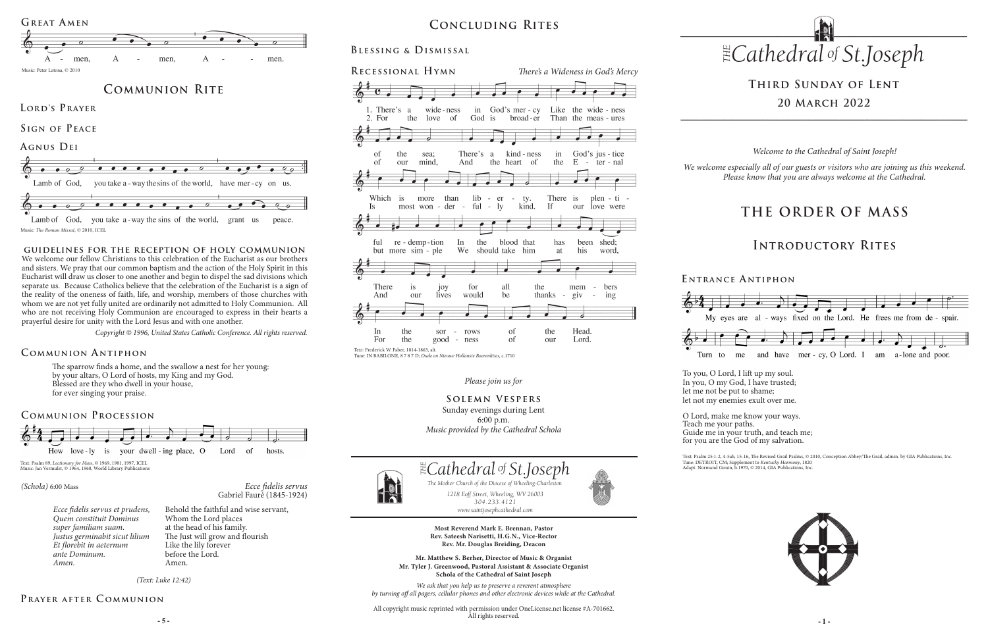### *Please join us for*

**Solemn Vespers** Sunday evenings during Lent 6:00 p.m. *Music provided by the Cathedral Schola*

# **Third Sunday of Lent 20 March 2022**

The sparrow finds a home, and the swallow a nest for her young: by your altars, O Lord of hosts, my King and my God. Blessed are they who dwell in your house, for ever singing your praise.

### **Communion A ntiphon**

Lamb of God, you take a -way the sins of the world, grant us peace. Music: *The Roman Missal*, © 2010, ICEL

# **Concluding Rites**

# **Blessing & Dismissal**

*Ecce fidelis servus* Gabriel Fauré (1845-1924)

### *(Schola)* 6:00 Mass

*Ecce fidelis servus et prudens, Quem constituit Dominus super familiam suam. Justus germinabit sicut lilium Et florebit in aeternum ante Dominum. Amen.*

**E ntrance A ntiphon**

## **Communion Procession**



*(Text: Luke 12:42)*

# PRAYER AFTER COMMUNION

# **THE ORDER OF MASS**

# **Introductory Rites**

*Welcome to the Cathedral of Saint Joseph!*

*We welcome especially all of our guests or visitors who are joining us this weekend. Please know that you are always welcome at the Cathedral.*

### **guidelines for the reception of holy communion**

**- 5 - - 1 -** All copyright music reprinted with permission under OneLicense.net license #A-701662. All rights reserved.







Text: Psalm 89; *Lectionary for Mass*, © 1969, 1981, 1997, ICEL Music: Jan Vermulst, © 1964, 1968, World Library Publ

We welcome our fellow Christians to this celebration of the Eucharist as our brothers and sisters. We pray that our common baptism and the action of the Holy Spirit in this Eucharist will draw us closer to one another and begin to dispel the sad divisions which separate us. Because Catholics believe that the celebration of the Eucharist is a sign of the reality of the oneness of faith, life, and worship, members of those churches with whom we are not yet fully united are ordinarily not admitted to Holy Communion. All who are not receiving Holy Communion are encouraged to express in their hearts a prayerful desire for unity with the Lord Jesus and with one another.



Text: Psalm 25:1-2, 4-5ab, 15-16, The Revised Grail Psalms, © 2010, Conception Abbey/The Grail, admin. by GIA Publications, Inc. Tune: DETROIT, CM; Supplement to *Kentucky Harmony*, 1820 Adapt. Normand Gouin, b.1970, © 2014, GIA Publications, Inc.

*Copyright © 1996, United States Catholic Conference. All rights reserved.* 



*1218 Eoff Street, Wheeling, WV 26003 304.233.4121 304.233.4121*

*www.saintjosephcathedral.com*

*www.saintjosephcathedral.com*

The Mother Church of the Diocese of Wheeling-Charlest<br>1218 Eoff Street, Wheeling, WV 26003

 *Cathedral St THE of .Joseph*



**Most Reverend Mark E. Brennan, Pastor Rev. Sateesh Narisetti, H.G.N., Vice-Rector Rev. Mr. Douglas Breiding, Deacon**

**Mr. Matthew S. Berher, Director of Music & Organist Mr. Tyler J. Greenwood, Pastoral Assistant & Associate Organist Schola of the Cathedral of Saint Joseph**

*1218 Eoff Street, Wheeling, WV 26003 The Mother Church of the Diocese of Wheeling-Charleston*

*We ask that you help us to preserve a reverent atmosphere by turning off all pagers, cellular phones and other electronic devices while at the Cathedral.*

Tune: IN BABILONE, 8 7 8 7 D; *Oude en Nieuwe Hollanste Boerenlities*, c.1710





Teach me your paths.

Behold the faithful and wise servant, Whom the Lord places at the head of his family. The Just will grow and flourish Like the lily forever before the Lord. Amen.